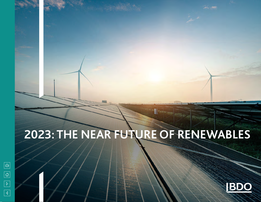# **2023: THE NEAR FUTURE OF RENEWABLES**



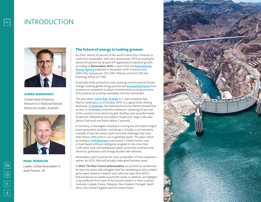## INTRODUCTION



#### SHERIF ANDRAWES

*Global Head of Natural Resources & National Natural Resources Leader, Australia*



MARC REINECKE *Leader, Global Renewables & Audit Partner, UK* 

#### The future of energy is looking greener.

By 2024, almost 33 percent of the world's electricity is forecast to come from renewables, with solar photovoltaic (PV) accounting for almost 60 percent (or at least 697 gigawatts) of expected growth, according to **Renewables 2019**, a report from the **[International](https://www.iea.org/renewables2019/?utm_campaign=IEA%20newsletters&utm_source=SendGrid&utm_medium=Email)  [Energy Agency](https://www.iea.org/renewables2019/?utm_campaign=IEA%20newsletters&utm_source=SendGrid&utm_medium=Email)** published in November 2019. Onshore wind (309 GW), hydropower (121 GW), offshore wind (43 GW) and bioenergy follow (41 GW).

Drastically lower production costs, growing concern around climate change, evolving global energy policies and **[increased pressure](https://www.forbes.com/sites/tinethygesen/2019/11/08/everyone-is-talking-about-esgwhat-is-it-and-why-should-it-matter-to-you/#6acd69e32e98)** from investors on companies to adopt environmental social governance (ESG) polices are pushing renewables into the mainstream.

This year alone, **[more than 12 large](https://www.wsj.com/articles/coal-bankruptcies-pile-up-as-utilities-embrace-gas-renewables-11570971602)** U.S. coal companies had filed for bankruptcy as of October 2019, in a signal of the shifting landscape. **[In Australia](https://www.theguardian.com/environment/2019/nov/07/renewables-meet-50-of-electricity-demand-on-australias-power-grid-for-first-time)**, the National Electricity Market showed that on Nov. 6, renewables reached a milestone—powering 50 percent of the country's main electricity grid. Rooftop solar provided nearly 24 percent, followed by wind (about 16 percent), large-scale solar (about 9 percent) and hydro (about 2 percent).

In Germany, a Norwegian company is running one of Europe's largest power generation facilities—and doing it virtually, in an innovative example of how the sector could overcome challenges that arise when there's little wind or sun to generate power. The plant, which according to *[CNN Business](https://www.cnn.com/2019/11/07/business/statkraft-virtual-power-plant/index.html)* could power 5 million homes, uses a cloud-based artificial intelligence program to link more than 1,500 wind, solar and hydropower plants across the continent with electricity generation and storage facilities like batteries.

Renewables used to just be the more sustainable—if more expensive option. By 2023, they will actually make good business sense.

In *2023: The Near Future of Renewables*, we present our predictions for how the sector will reimagine itself by capitalising on this scalable green wave, based on research and collective input from BDO's Natural Resources leaders around the world. In addition, we highlight a top prediction from each of the practice leaders in nine countries: Australia, Canada, France, Malaysia, New Zealand, Portugal, South Africa, the United Kingdom and the United States.

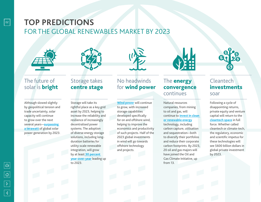# **TOP PREDICTIONS**

## FOR THE GLOBAL RENEWABLES MARKET BY 2023











## The future of solar is **bright**

Although slowed slightly by geopolitical tension and trade uncertainty, solar capacity will continue to grow over the next several years—**[surpassing](https://www.solarpowereurope.org/wp-content/uploads/2019/05/SolarPower-Europe-Global-Market-Outlook-2019-2023.pdf)  [a terawatt](https://www.solarpowereurope.org/wp-content/uploads/2019/05/SolarPower-Europe-Global-Market-Outlook-2019-2023.pdf)** of global solar power generation by 2023.

## Storage takes centre stage

Storage will take its rightful place as a key grid asset by 2023, helping to increase the reliability and resilience of increasingly decentralised power systems. The adoption of diverse energy storage solutions, including longduration batteries for utility-scale renewable integration, will grow by at least **[30 percent](https://www.eesi.org/papers/view/energy-storage-2019)  [year-over-year](https://www.eesi.org/papers/view/energy-storage-2019)** leading up to 2023.

## No headwinds for **wind power**

**[Wind power](https://www.forbes.com/sites/arielcohen/2019/03/26/as-global-energy-demands-grows-so-does-appetite-for-offshore-wind/#176d871e65e7)** will continue to grow, with increased storage capabilities developed specifically for on and offshore wind, helping to improve the economics and productivity of such projects. Half of the 2023 global investments in wind will go towards offshore technology and projects.

## The **energy** convergence continues

Natural resources companies, from mining to oil and gas, will continue to **[invest in clean](https://www.forbes.com/sites/kensilverstein/2019/04/07/big-oil-is-feeling-the-heat-and-dipping-into-green-energy/#299283e362e7)** 

#### **[or renewable energy](https://www.forbes.com/sites/kensilverstein/2019/04/07/big-oil-is-feeling-the-heat-and-dipping-into-green-energy/#299283e362e7)**

technology, including carbon capture, utilisation and sequestration—both to diversify their portfolios and reduce their corporate carbon footprints. By 2023, 20 oil and gas majors will have joined the Oil and Gas Climate Initiative, up from 13.

## Cleantech investments soar

Following a cycle of disappointing returns, private equity and venture capital will return to the **[cleantech space](https://www.greentechmedia.com/articles/read/global-renewable-energy-investment#gs.yih42p)** in full force. Whether called cleantech or climate-tech, the regulatory, economic and scientific impetus for these technologies will see \$600 billion dollars in global private investment by 2023.

 $|02|$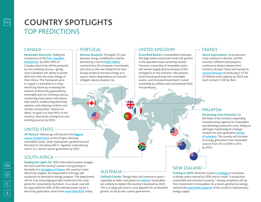# **COUNTRY SPOTLIGHTS**  TOP PREDICTIONS

### CANADA —————

#### **Renewable Electricity:** Riding the momentum of the **[Pan-Canadian](https://nam05.safelinks.protection.outlook.com/?url=https%3A%2F%2Fwww.canada.ca%2Fen%2Fservices%2Fenvironment%2Fweather%2Fclimatechange%2Fclimate-action%2Fpowering-future-clean-energy.html&data=02%7C01%7CMDBloom%40bdo.com%7C6c42bb8c2e744a77fbed08d794a90f8d%7C6e57fc1a413e405091da7d2dc8543e3c%7C0%7C0%7C637141326162295301&sdata=z68Ce%2BcJ7XM6hse0CHkd3qBG0a6yRg%2FSgfvj6BlxDH0%3D&reserved=0)  [Framework](https://nam05.safelinks.protection.outlook.com/?url=https%3A%2F%2Fwww.canada.ca%2Fen%2Fservices%2Fenvironment%2Fweather%2Fclimatechange%2Fclimate-action%2Fpowering-future-clean-energy.html&data=02%7C01%7CMDBloom%40bdo.com%7C6c42bb8c2e744a77fbed08d794a90f8d%7C6e57fc1a413e405091da7d2dc8543e3c%7C0%7C0%7C637141326162295301&sdata=z68Ce%2BcJ7XM6hse0CHkd3qBG0a6yRg%2FSgfvj6BlxDH0%3D&reserved=0)**, by 2023, 85% of

Canada's electricity will be produced by non-emitting sources—giving most Canadians the ability to power their lives with the clean energy of their choice. The Framework aims to support a transition to a clean electricity future by increasing the amount of electricity generated by renewable and non-emitting sources, connecting clean power with places that need it, modernizing electricity systems, and reducing northern and remote communities' reliance on diesel. Its goal is to have 90% of the country's electricity coming from nonemitting sources by 2030.

#### UNITED STATES

**All Natural:** Natural gas will become the **[biggest](https://www.eia.gov/outlooks/aeo/pdf/aeo2019.pdf)  [source of electricity](https://www.eia.gov/outlooks/aeo/pdf/aeo2019.pdf)** on the US grid, allowing renewables (solar, wind, hydropower, geothermal and biomass) to rise along with it, regularly outproducing coal in U.S. electric power generation by 2023.

## SOUTH AFRICA  $-$

**Keeping the Lights On:** With intermittent power outages the norm and the country's power crisis growing on the heels of a **[struggles at Eskom](https://www.washingtonpost.com/business/energy/why-eskoms-power-crisis-is-south-africas-top-risk/2019/05/29/70697bcc-81e4-11e9-b585-e36b16a531aa_story.html)**, the country's main electricity supplier, the Department of Energy will accelerate its alternative energy program. The department will do it by encouraging private investment into solar plants for consumption by Eskom. As a result, coal will be responsible for 60% of the national power sector's electricity generation, down from **[more than 85%](https://www.climateinvestmentfunds.org/country/south-africa)** today.

## PORTUGAL

**Biomass Blueprint:** Portugal's 15-year biomass energy installations scheme, boosted by a recent **[€320 million](https://sdg.iisd.org/news/investment-in-renewable-energy-is-clean-but-in-transmission-and-distribution-technologies-not-necessarily/)** received from the European Commission, will serve as the new blueprint for how Europe produces biomass energy as a way to reduce dependence on coal and mitigate natural disaster risk.

## UNITED KINGDOM

**Diversified Backers:** Consolidation between the large listed and private funds will quicken in the specialist asset ownership market. However, ownership of renewable assets will remain largely diverse because of the emergence of new entrants—like pension funds investing directly into renewable assets—and increased investment in asset ownership by utilities and conventional fossil fuel producers.

### FRANCE

**Above Expectations:** As production costs continue to decline, and the country's offshore wind projects continue to attract interest from investors abroad, France will exceed its **[current forecast](https://www.reuters.com/article/us-france-politics-renewables-windpower/france-to-double-pace-of-offshore-wind-projects-as-costs-fall-pm-idUSKCN1TD28H)** of producing 2.4 GW of offshore wind capacity by 2023 and reach at least 5 GW by then.

#### MALAYSIA

**Maximising Solar Potential:** On the heels of the country's expanding manufacturing capacity for renewables and declining production costs, Malaysia will begin maximising its strategic

location for solar generation **[ahead](https://theaseanpost.com/article/malaysias-solar-sector-rise)  [of schedule](https://theaseanpost.com/article/malaysias-solar-sector-rise)**: The country will increase its energy generation from renewable sources from 2% in 2018 to 25% by 2023.

## AUSTRALIA

**(Stifled) Growth:** Though they will continue to grow especially as older coal plants are **[retired](https://www.theguardian.com/australia-news/2018/jul/17/renewables-will-replace-ageing-coal-plants-at-lowest-cost-aemo-says)**—renewables are unlikely to replace the country's baseload by 2023. This is in large part due to a low appetite for accelerated growth, as set by the current government.

## NFW 7FAI AND  $-$

**Pushing to 2050:** Amid the country's **[strategy](https://www.mbie.govt.nz/assets/868e03d347/transitioning-to-more-affordable-and-renewable-energy-the-energy-markets-work-programme.pdf)** to transition to being carbon neutral by 2050 and to create "a productive, sustainable and inclusive economy," mining companies will up their investment in renewables. As a result, geothermal energy will provide **[more than a quarter](https://www.eeca.govt.nz/energy-use-in-new-zealand/renewable-energy-resources/geothermal/)** of the country's total primary energy supply.